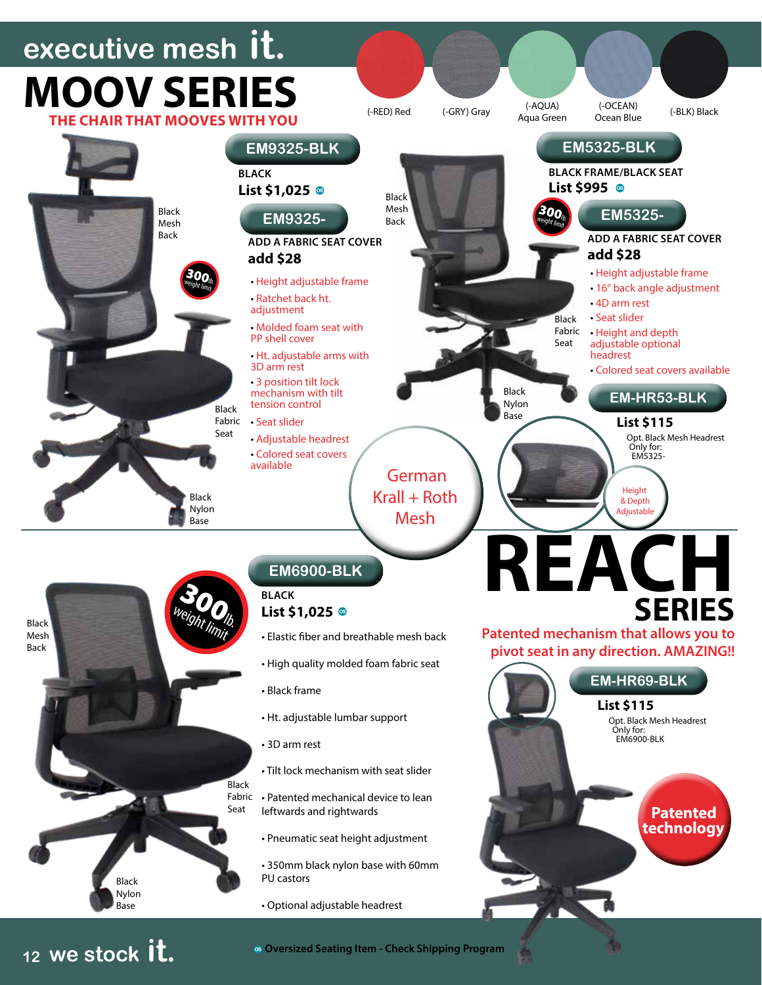## **executive mesh it. Patented technology REACH SERIES Patented mechanism that allows you to pivot seat in any direction. AMAZING!! MOOV SERIES THE CHAIR THAT MOOVES WITH YOU** • Elastic fiber and breathable mesh back • High quality molded foam fabric seat • Black frame • Ht. adjustable lumbar support • 3D arm rest • Tilt lock mechanism with seat slider Fabric • Patented mechanical device to lean leftwards and rightwards • Pneumatic seat height adjustment • 350mm black nylon base with 60mm PU castors • Optional adjustable headrest **EM6900-BLK BLACK** List \$1,025<sup>®</sup> **EM-HR69-BLK** Opt. Black Mesh Headrest Only for: EM6900-BLK **List \$115** Black Mesh Back **EM5325-BLK BLACK FRAME/BLACK SEAT** • Height adjustable frame • 16° back angle adjustment • 4D arm rest • Seat slider • Height and depth adjustable optional headrest • Colored seat covers available **EM5325- ADD A FABRIC SEAT COVER add \$28** Black Nylon Base  $300<sub>h</sub>$ **EM-HR53-BLK** Opt. Black Mesh Headrest Only for: EM5325- **List \$115** Height & Depth Adjustable (-RED) Red (-GRY) Gray (-AQUA) (-OCEAN)<br>Aqua Green Ocean Blue (-AQUA) (-OCEAN) (-BLK) Black<br>Aqua Green Ocean Blue (-BLK) Black • Height adjustable frame • Ratchet back ht. adjustment • Molded foam seat with PP shell cover • Ht. adjustable arms with 3D arm rest • 3 position tilt lock mechanism with tilt tension control • Seat slider • Adjustable headrest • Colored seat covers available **EM9325-BLK BLACK List \$1,025** 300 weight limit. **List \$995** German  $Krall + Roth$ Mesh Black Nylon Base Black Nylon Base Black Mesh Back Black Mesh Back **Black** Seat Black Fabric Seat Black Fabric Seat **EM9325- ADD A FABRIC SEAT COVER add \$28**

**Oversized Seating Item - Check Shipping Program**

**<sup>12</sup> we stock it.**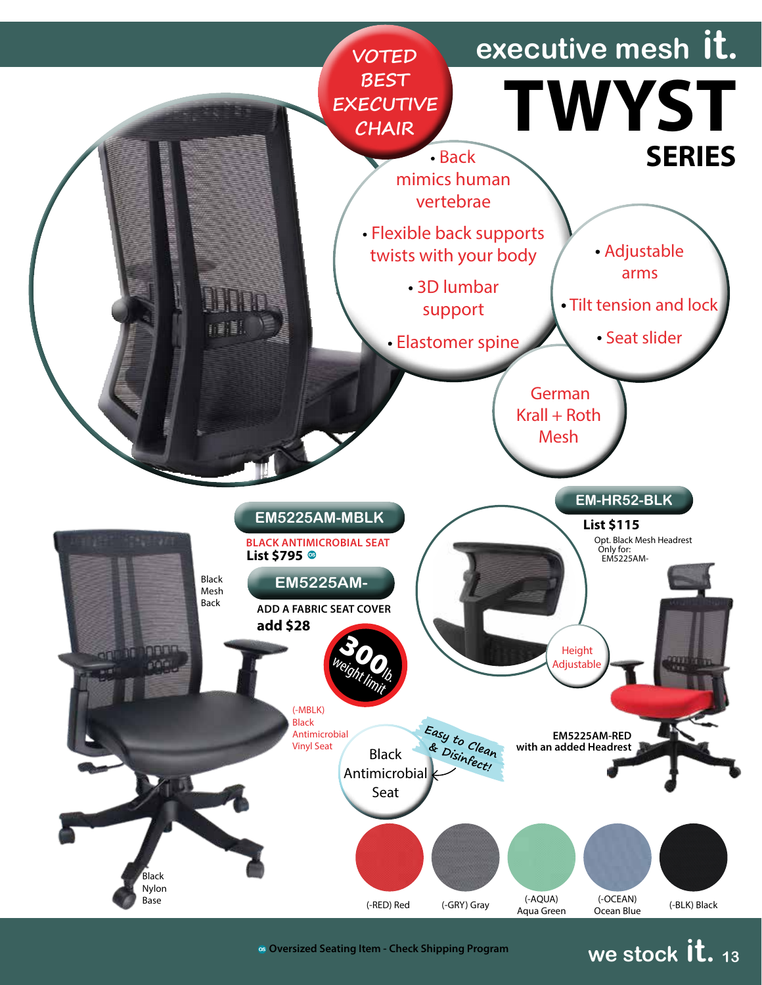

**we stock it. <sup>13</sup> Oversized Seating Item - Check Shipping Program**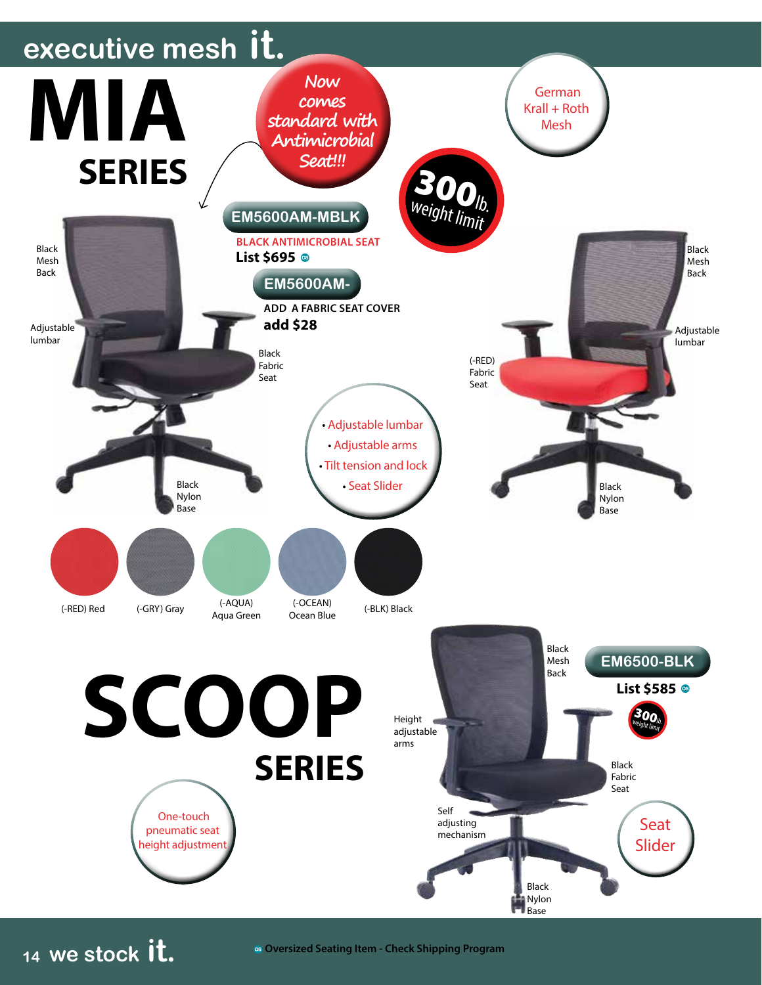

**Oversized Seating Item - Check Shipping Program**